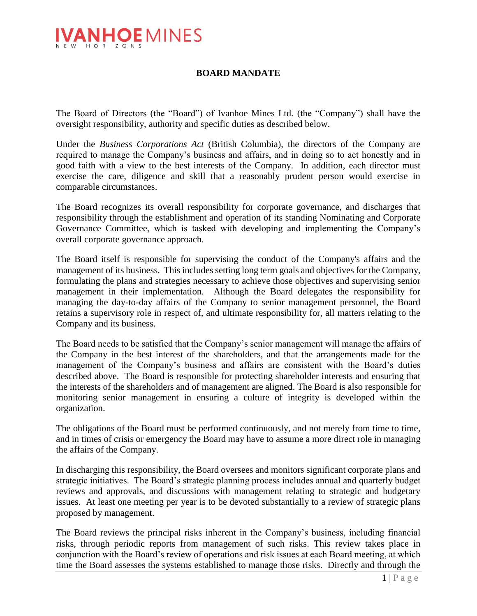

## **BOARD MANDATE**

The Board of Directors (the "Board") of Ivanhoe Mines Ltd. (the "Company") shall have the oversight responsibility, authority and specific duties as described below.

Under the *Business Corporations Act* (British Columbia), the directors of the Company are required to manage the Company's business and affairs, and in doing so to act honestly and in good faith with a view to the best interests of the Company. In addition, each director must exercise the care, diligence and skill that a reasonably prudent person would exercise in comparable circumstances.

The Board recognizes its overall responsibility for corporate governance, and discharges that responsibility through the establishment and operation of its standing Nominating and Corporate Governance Committee, which is tasked with developing and implementing the Company's overall corporate governance approach.

The Board itself is responsible for supervising the conduct of the Company's affairs and the management of its business. This includes setting long term goals and objectives for the Company, formulating the plans and strategies necessary to achieve those objectives and supervising senior management in their implementation. Although the Board delegates the responsibility for managing the day-to-day affairs of the Company to senior management personnel, the Board retains a supervisory role in respect of, and ultimate responsibility for, all matters relating to the Company and its business.

The Board needs to be satisfied that the Company's senior management will manage the affairs of the Company in the best interest of the shareholders, and that the arrangements made for the management of the Company's business and affairs are consistent with the Board's duties described above. The Board is responsible for protecting shareholder interests and ensuring that the interests of the shareholders and of management are aligned. The Board is also responsible for monitoring senior management in ensuring a culture of integrity is developed within the organization.

The obligations of the Board must be performed continuously, and not merely from time to time, and in times of crisis or emergency the Board may have to assume a more direct role in managing the affairs of the Company.

In discharging this responsibility, the Board oversees and monitors significant corporate plans and strategic initiatives. The Board's strategic planning process includes annual and quarterly budget reviews and approvals, and discussions with management relating to strategic and budgetary issues. At least one meeting per year is to be devoted substantially to a review of strategic plans proposed by management.

The Board reviews the principal risks inherent in the Company's business, including financial risks, through periodic reports from management of such risks. This review takes place in conjunction with the Board's review of operations and risk issues at each Board meeting, at which time the Board assesses the systems established to manage those risks. Directly and through the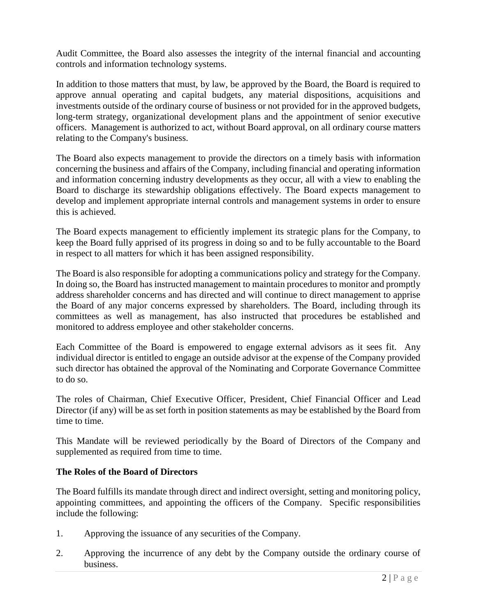Audit Committee, the Board also assesses the integrity of the internal financial and accounting controls and information technology systems.

In addition to those matters that must, by law, be approved by the Board, the Board is required to approve annual operating and capital budgets, any material dispositions, acquisitions and investments outside of the ordinary course of business or not provided for in the approved budgets, long-term strategy, organizational development plans and the appointment of senior executive officers. Management is authorized to act, without Board approval, on all ordinary course matters relating to the Company's business.

The Board also expects management to provide the directors on a timely basis with information concerning the business and affairs of the Company, including financial and operating information and information concerning industry developments as they occur, all with a view to enabling the Board to discharge its stewardship obligations effectively. The Board expects management to develop and implement appropriate internal controls and management systems in order to ensure this is achieved.

The Board expects management to efficiently implement its strategic plans for the Company, to keep the Board fully apprised of its progress in doing so and to be fully accountable to the Board in respect to all matters for which it has been assigned responsibility.

The Board is also responsible for adopting a communications policy and strategy for the Company. In doing so, the Board has instructed management to maintain procedures to monitor and promptly address shareholder concerns and has directed and will continue to direct management to apprise the Board of any major concerns expressed by shareholders. The Board, including through its committees as well as management, has also instructed that procedures be established and monitored to address employee and other stakeholder concerns.

Each Committee of the Board is empowered to engage external advisors as it sees fit. Any individual director is entitled to engage an outside advisor at the expense of the Company provided such director has obtained the approval of the Nominating and Corporate Governance Committee to do so.

The roles of Chairman, Chief Executive Officer, President, Chief Financial Officer and Lead Director (if any) will be as set forth in position statements as may be established by the Board from time to time.

This Mandate will be reviewed periodically by the Board of Directors of the Company and supplemented as required from time to time.

## **The Roles of the Board of Directors**

The Board fulfills its mandate through direct and indirect oversight, setting and monitoring policy, appointing committees, and appointing the officers of the Company. Specific responsibilities include the following:

- 1. Approving the issuance of any securities of the Company.
- 2. Approving the incurrence of any debt by the Company outside the ordinary course of business.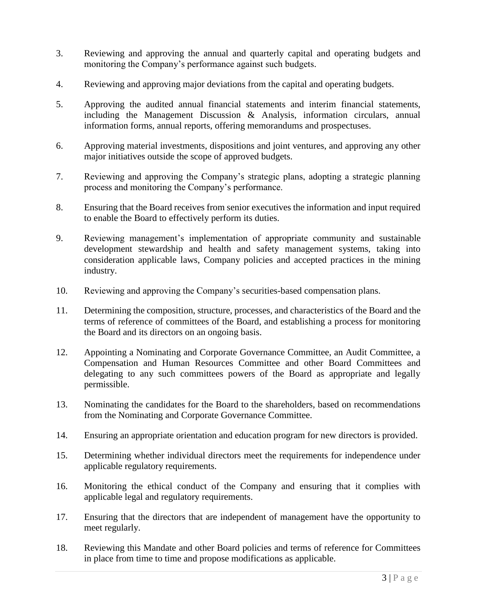- 3. Reviewing and approving the annual and quarterly capital and operating budgets and monitoring the Company's performance against such budgets.
- 4. Reviewing and approving major deviations from the capital and operating budgets.
- 5. Approving the audited annual financial statements and interim financial statements, including the Management Discussion & Analysis, information circulars, annual information forms, annual reports, offering memorandums and prospectuses.
- 6. Approving material investments, dispositions and joint ventures, and approving any other major initiatives outside the scope of approved budgets.
- 7. Reviewing and approving the Company's strategic plans, adopting a strategic planning process and monitoring the Company's performance.
- 8. Ensuring that the Board receives from senior executives the information and input required to enable the Board to effectively perform its duties.
- 9. Reviewing management's implementation of appropriate community and sustainable development stewardship and health and safety management systems, taking into consideration applicable laws, Company policies and accepted practices in the mining industry.
- 10. Reviewing and approving the Company's securities-based compensation plans.
- 11. Determining the composition, structure, processes, and characteristics of the Board and the terms of reference of committees of the Board, and establishing a process for monitoring the Board and its directors on an ongoing basis.
- 12. Appointing a Nominating and Corporate Governance Committee, an Audit Committee, a Compensation and Human Resources Committee and other Board Committees and delegating to any such committees powers of the Board as appropriate and legally permissible.
- 13. Nominating the candidates for the Board to the shareholders, based on recommendations from the Nominating and Corporate Governance Committee.
- 14. Ensuring an appropriate orientation and education program for new directors is provided.
- 15. Determining whether individual directors meet the requirements for independence under applicable regulatory requirements.
- 16. Monitoring the ethical conduct of the Company and ensuring that it complies with applicable legal and regulatory requirements.
- 17. Ensuring that the directors that are independent of management have the opportunity to meet regularly.
- 18. Reviewing this Mandate and other Board policies and terms of reference for Committees in place from time to time and propose modifications as applicable.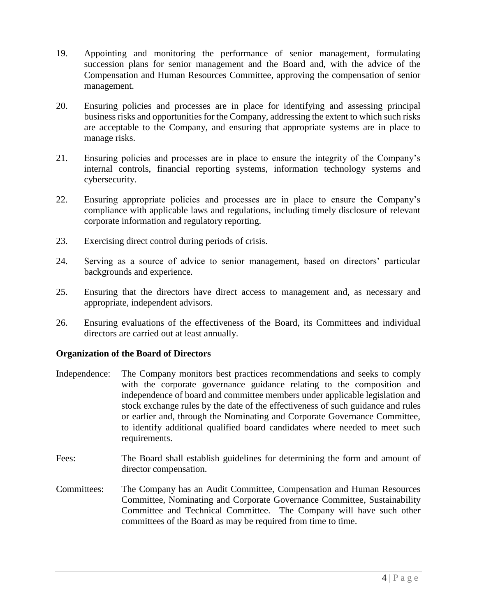- 19. Appointing and monitoring the performance of senior management, formulating succession plans for senior management and the Board and, with the advice of the Compensation and Human Resources Committee, approving the compensation of senior management.
- 20. Ensuring policies and processes are in place for identifying and assessing principal business risks and opportunities for the Company, addressing the extent to which such risks are acceptable to the Company, and ensuring that appropriate systems are in place to manage risks.
- 21. Ensuring policies and processes are in place to ensure the integrity of the Company's internal controls, financial reporting systems, information technology systems and cybersecurity.
- 22. Ensuring appropriate policies and processes are in place to ensure the Company's compliance with applicable laws and regulations, including timely disclosure of relevant corporate information and regulatory reporting.
- 23. Exercising direct control during periods of crisis.
- 24. Serving as a source of advice to senior management, based on directors' particular backgrounds and experience.
- 25. Ensuring that the directors have direct access to management and, as necessary and appropriate, independent advisors.
- 26. Ensuring evaluations of the effectiveness of the Board, its Committees and individual directors are carried out at least annually.

## **Organization of the Board of Directors**

- Independence: The Company monitors best practices recommendations and seeks to comply with the corporate governance guidance relating to the composition and independence of board and committee members under applicable legislation and stock exchange rules by the date of the effectiveness of such guidance and rules or earlier and, through the Nominating and Corporate Governance Committee, to identify additional qualified board candidates where needed to meet such requirements.
- Fees: The Board shall establish guidelines for determining the form and amount of director compensation.
- Committees: The Company has an Audit Committee, Compensation and Human Resources Committee, Nominating and Corporate Governance Committee, Sustainability Committee and Technical Committee. The Company will have such other committees of the Board as may be required from time to time.